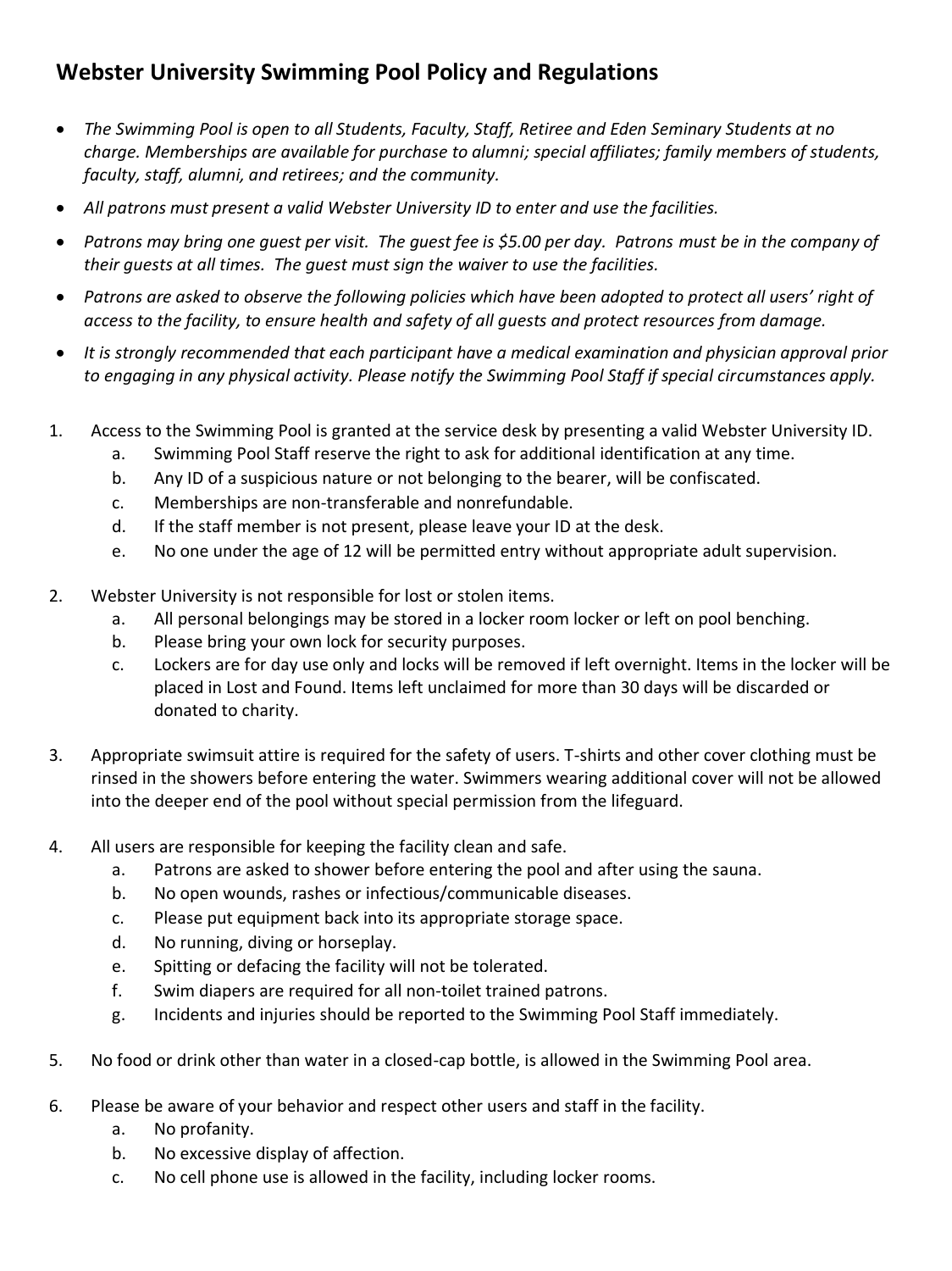## **Webster University Swimming Pool Policy and Regulations**

- *The Swimming Pool is open to all Students, Faculty, Staff, Retiree and Eden Seminary Students at no charge. Memberships are available for purchase to alumni; special affiliates; family members of students, faculty, staff, alumni, and retirees; and the community.*
- *All patrons must present a valid Webster University ID to enter and use the facilities.*
- *Patrons may bring one guest per visit. The guest fee is \$5.00 per day. Patrons must be in the company of their guests at all times. The guest must sign the waiver to use the facilities.*
- *Patrons are asked to observe the following policies which have been adopted to protect all users' right of access to the facility, to ensure health and safety of all guests and protect resources from damage.*
- *It is strongly recommended that each participant have a medical examination and physician approval prior to engaging in any physical activity. Please notify the Swimming Pool Staff if special circumstances apply.*
- 1. Access to the Swimming Pool is granted at the service desk by presenting a valid Webster University ID.
	- a. Swimming Pool Staff reserve the right to ask for additional identification at any time.
	- b. Any ID of a suspicious nature or not belonging to the bearer, will be confiscated.
	- c. Memberships are non-transferable and nonrefundable.
	- d. If the staff member is not present, please leave your ID at the desk.
	- e. No one under the age of 12 will be permitted entry without appropriate adult supervision.
- 2. Webster University is not responsible for lost or stolen items.
	- a. All personal belongings may be stored in a locker room locker or left on pool benching.
	- b. Please bring your own lock for security purposes.
	- c. Lockers are for day use only and locks will be removed if left overnight. Items in the locker will be placed in Lost and Found. Items left unclaimed for more than 30 days will be discarded or donated to charity.
- 3. Appropriate swimsuit attire is required for the safety of users. T-shirts and other cover clothing must be rinsed in the showers before entering the water. Swimmers wearing additional cover will not be allowed into the deeper end of the pool without special permission from the lifeguard.
- 4. All users are responsible for keeping the facility clean and safe.
	- a. Patrons are asked to shower before entering the pool and after using the sauna.
	- b. No open wounds, rashes or infectious/communicable diseases.
	- c. Please put equipment back into its appropriate storage space.
	- d. No running, diving or horseplay.
	- e. Spitting or defacing the facility will not be tolerated.
	- f. Swim diapers are required for all non-toilet trained patrons.
	- g. Incidents and injuries should be reported to the Swimming Pool Staff immediately.
- 5. No food or drink other than water in a closed-cap bottle, is allowed in the Swimming Pool area.
- 6. Please be aware of your behavior and respect other users and staff in the facility.
	- a. No profanity.
	- b. No excessive display of affection.
	- c. No cell phone use is allowed in the facility, including locker rooms.